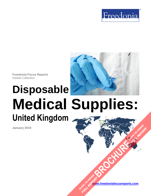



**Freedonia Focus Reports** Global Collection

# **Disposable Medical Supplies: United Kingdom**

**January 2019**

**[www.freedoniafocusreports.com](https://www.freedoniafocusreports.com/redirect.asp?progid=89534&url=/)** CLICK TO ORDER **FULL REPORT** 

**[BROCHURE](https://www.freedoniafocusreports.com/Disposable-Medical-Supplies-United-Kingdom-FB40019/?progid=89541) CLICK TO ORDER** 

**FULL REPORT**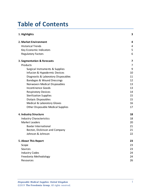# **Table of Contents**

| 1. Highlights                            | 3  |
|------------------------------------------|----|
| 2. Market Environment                    | 4  |
| <b>Historical Trends</b>                 | 4  |
| Key Economic Indicators                  | 5  |
| <b>Regulatory Factors</b>                | 6  |
| 3. Segmentation & Forecasts              | 7  |
| Products                                 | 7  |
| Surgical Instruments & Supplies          | 9  |
| Infusion & Hypodermic Devices            | 10 |
| Diagnostic & Laboratory Disposables      | 11 |
| Bandages & Wound Dressings               | 12 |
| Nonwoven Medical Disposables             | 13 |
| Incontinence Goods                       | 13 |
| <b>Respiratory Devices</b>               | 14 |
| <b>Sterilization Supplies</b>            | 15 |
| Dialysis Disposables                     | 15 |
| Medical & Laboratory Gloves              | 16 |
| <b>Other Disposable Medical Supplies</b> | 17 |
| 4. Industry Structure                    | 18 |
| <b>Industry Characteristics</b>          | 18 |
| <b>Market Leaders</b>                    | 20 |
| <b>Baxter International</b>              | 21 |
| Becton, Dickinson and Company            | 21 |
| Johnson & Johnson                        | 22 |
| 5. About This Report                     | 23 |
| Scope                                    | 23 |
| Sources                                  | 23 |
| <b>Industry Codes</b>                    | 24 |
| Freedonia Methodology                    | 24 |
| Resources                                | 26 |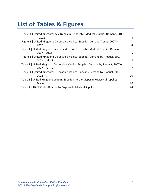# **List of Tables & Figures**

| Figure 1   United Kingdom: Key Trends in Disposable Medical Supplies Demand, 2017<br>$-2022$        | 3  |
|-----------------------------------------------------------------------------------------------------|----|
| Figure 2   United Kingdom: Disposable Medical Supplies Demand Trends, 2007 -<br>2017                | 4  |
| Table 1   United Kingdom: Key Indicators for Disposable Medical Supplies Demand,<br>$2007 - 2022$   | 5  |
| Figure 3   United Kingdom: Disposable Medical Supplies Demand by Product, 2007 –<br>2022 (US\$ mil) | 7  |
| Table 2   United Kingdom: Disposable Medical Supplies Demand by Product, 2007 -<br>2022 (US\$ mil)  | 7  |
| Figure 4   United Kingdom: Disposable Medical Supplies Demand by Product, 2007 -<br>2022 (%)        | 10 |
| Table 3   United Kingdom: Leading Suppliers to the Disposable Medical Supplies                      |    |
| Market                                                                                              | 20 |
| Table 4   NACE Codes Related to Disposable Medical Supplies                                         | 24 |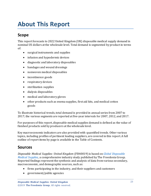# <span id="page-3-0"></span>**About This Report**

# <span id="page-3-1"></span>**Scope**

This report forecasts to 2022 United Kingdom (UK) disposable medical supply demand in nominal US dollars at the wholesale level. Total demand is segmented by productin terms of:

- surgical instruments and supplies
- infusion and hypodermic devices
- diagnostic and laboratory disposables
- bandages and wound dressings
- nonwoven medical disposables
- incontinence goods
- respiratory devices
- sterilization supplies
- dialysis disposables
- medical and laboratory gloves
- other products such as enema supplies, first aid kits, and medical cotton goods

To illustrate historical trends, total demand is provided in annual series from 2007 to 2017; the various segments are reported at five-year intervals for 2007, 2012, and 2017.

For purposes of this report, disposable medical supplies demand is defined as the value of finished products sold by producers at the wholesale level.

Key macroeconomic indicators are also provided with quantified trends. Other various topics, including profiles of pertinent leading suppliers, are covered in this report. A full outline of report items by page is available in the Table of Contents.

### <span id="page-3-2"></span>**Sources**

*Disposable Medical Supplies: United Kingdom* (FB40019) is based on *[Global Disposable](http://www.freedoniagroup.com/DocumentDetails.aspx?ReferrerId=FL-FOCUS&studyid=3694)  [Medical Supplies,](http://www.freedoniagroup.com/DocumentDetails.aspx?ReferrerId=FL-FOCUS&studyid=3694)* a comprehensive industry study published by The Freedonia Group. Reported findings represent the synthesis and analysis of data from various secondary, macroeconomic, and demographic sources, such as:

- firms participating in the industry, and their suppliers and customers
- government/public agencies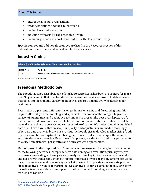- intergovernmental organizations
- trade associations and their publications
- the business and trade press
- indicator forecasts by The Freedonia Group
- the findings of other reports and studies by The Freedonia Group

Specific sources and additional resources are listed in the Resources section of this publication for reference and to facilitate further research.

# <span id="page-4-0"></span>**Industry Codes**

<span id="page-4-2"></span>

| Table 4   NACE Codes Related to Disposable Medical Supplies |                                                            |  |
|-------------------------------------------------------------|------------------------------------------------------------|--|
| NACE Code                                                   | <b>Definition</b>                                          |  |
| 32.50                                                       | Manufacture of Medical and Dental Instruments and Supplies |  |

Source: European Commission

# <span id="page-4-1"></span>**Freedonia Methodology**

The Freedonia Group, a subsidiary of MarketResearch.com, has been in business for more than 30 years and in that time has developed a comprehensive approach to data analysis that takes into account the variety of industries covered and the evolving needs of our customers.

Every industry presents different challenges in market sizing and forecasting, and this requires flexibility in methodology and approach. Freedonia methodology integrates a variety of quantitative and qualitative techniques to present the best overall picture of a market's current position as well as its future outlook: When published data are available, we make sure they are correct and representative of reality. We understand that published data often have flaws either in scope or quality, and adjustments are made accordingly. Where no data are available, we use various methodologies to develop market sizing (both top-down and bottom-up) and then triangulate those results to come up with the most accurate data series possible. Regardless of approach, we also talk to industry participants to verify both historical perspective and future growth opportunities.

Methods used in the preparation of Freedonia market research include, but are not limited to, the following activities: comprehensive data mining and evaluation, primary research, consensus forecasting and analysis, ratio analysis using key indicators, regression analysis, end use growth indices and intensity factors, purchase power parity adjustments for global data, consumer and end user surveys, market share and corporate sales analysis, product lifespan analysis, product or market life cycle analysis, graphical data modeling, long-term historical trend analysis, bottom-up and top-down demand modeling, and comparative market size ranking.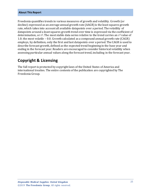#### **About This Report**

Freedonia quantifies trends in various measures of growth and volatility. Growth (or decline) expressed as an average annual growth rate (AAGR) is the least squares growth rate, which takes into account all available datapoints over a period. The volatility of datapoints around a least squares growth trend over time is expressed via the coefficient of determination, or  $r^2$ . The most stable data series relative to the trend carries an  $r^2$  value of 1.0; the most volatile – 0.0. Growth calculated as a compound annual growth rate (CAGR) employs, by definition, only the first and last datapoints over a period. The CAGR is used to describe forecast growth, defined as the expected trend beginning in the base year and ending in the forecast year. Readers are encouraged to consider historical volatility when assessing particular annual values along the forecast trend, including in the forecast year.

### **Copyright & Licensing**

The full report is protected by copyright laws of the United States of America and international treaties. The entire contents of the publication are copyrighted by The Freedonia Group.